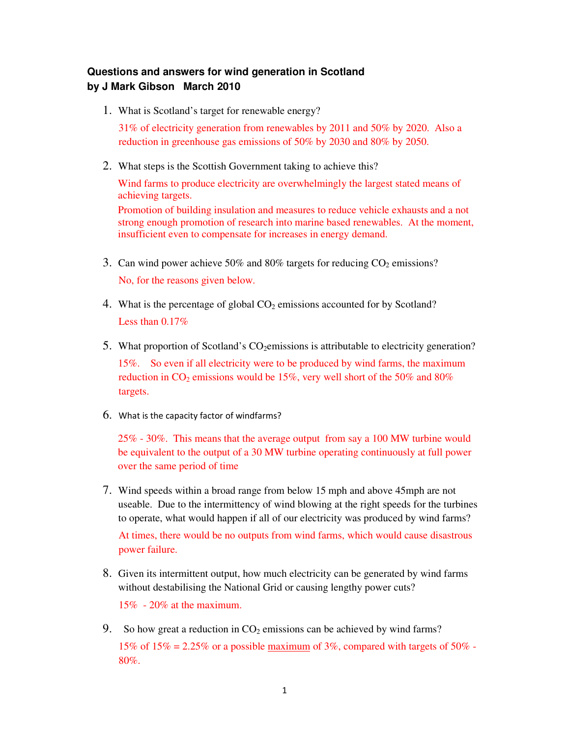## **Questions and answers for wind generation in Scotland by J Mark Gibson March 2010**

1. What is Scotland's target for renewable energy?

31% of electricity generation from renewables by 2011 and 50% by 2020. Also a reduction in greenhouse gas emissions of 50% by 2030 and 80% by 2050.

2. What steps is the Scottish Government taking to achieve this?

Wind farms to produce electricity are overwhelmingly the largest stated means of achieving targets. Promotion of building insulation and measures to reduce vehicle exhausts and a not

strong enough promotion of research into marine based renewables. At the moment, insufficient even to compensate for increases in energy demand.

- 3. Can wind power achieve 50% and 80% targets for reducing  $CO<sub>2</sub>$  emissions? No, for the reasons given below.
- 4. What is the percentage of global  $CO<sub>2</sub>$  emissions accounted for by Scotland? Less than 0.17%
- 5. What proportion of Scotland's  $CO<sub>2</sub>$ emissions is attributable to electricity generation?

15%. So even if all electricity were to be produced by wind farms, the maximum reduction in  $CO_2$  emissions would be 15%, very well short of the 50% and 80% targets.

6. What is the capacity factor of windfarms?

25% - 30%. This means that the average output from say a 100 MW turbine would be equivalent to the output of a 30 MW turbine operating continuously at full power over the same period of time

7. Wind speeds within a broad range from below 15 mph and above 45mph are not useable. Due to the intermittency of wind blowing at the right speeds for the turbines to operate, what would happen if all of our electricity was produced by wind farms?

At times, there would be no outputs from wind farms, which would cause disastrous power failure.

- 8. Given its intermittent output, how much electricity can be generated by wind farms without destabilising the National Grid or causing lengthy power cuts? 15% - 20% at the maximum.
- 9. So how great a reduction in  $CO<sub>2</sub>$  emissions can be achieved by wind farms? 15% of 15% = 2.25% or a possible maximum of 3%, compared with targets of 50% -80%.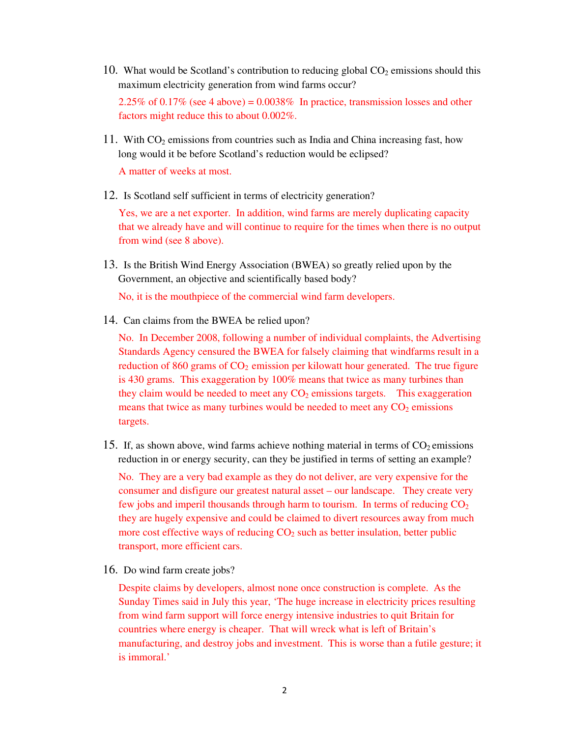10. What would be Scotland's contribution to reducing global  $CO<sub>2</sub>$  emissions should this maximum electricity generation from wind farms occur?

2.25% of 0.17% (see 4 above) =  $0.0038\%$  In practice, transmission losses and other factors might reduce this to about 0.002%.

11. With  $CO<sub>2</sub>$  emissions from countries such as India and China increasing fast, how long would it be before Scotland's reduction would be eclipsed?

A matter of weeks at most.

12. Is Scotland self sufficient in terms of electricity generation?

Yes, we are a net exporter. In addition, wind farms are merely duplicating capacity that we already have and will continue to require for the times when there is no output from wind (see 8 above).

13. Is the British Wind Energy Association (BWEA) so greatly relied upon by the Government, an objective and scientifically based body?

No, it is the mouthpiece of the commercial wind farm developers.

14. Can claims from the BWEA be relied upon?

No. In December 2008, following a number of individual complaints, the Advertising Standards Agency censured the BWEA for falsely claiming that windfarms result in a reduction of 860 grams of  $CO<sub>2</sub>$  emission per kilowatt hour generated. The true figure is 430 grams. This exaggeration by 100% means that twice as many turbines than they claim would be needed to meet any  $CO<sub>2</sub>$  emissions targets. This exaggeration means that twice as many turbines would be needed to meet any  $CO<sub>2</sub>$  emissions targets.

15. If, as shown above, wind farms achieve nothing material in terms of  $CO<sub>2</sub>$  emissions reduction in or energy security, can they be justified in terms of setting an example?

No. They are a very bad example as they do not deliver, are very expensive for the consumer and disfigure our greatest natural asset – our landscape. They create very few jobs and imperil thousands through harm to tourism. In terms of reducing  $CO<sub>2</sub>$ they are hugely expensive and could be claimed to divert resources away from much more cost effective ways of reducing  $CO<sub>2</sub>$  such as better insulation, better public transport, more efficient cars.

16. Do wind farm create jobs?

Despite claims by developers, almost none once construction is complete. As the Sunday Times said in July this year, 'The huge increase in electricity prices resulting from wind farm support will force energy intensive industries to quit Britain for countries where energy is cheaper. That will wreck what is left of Britain's manufacturing, and destroy jobs and investment. This is worse than a futile gesture; it is immoral.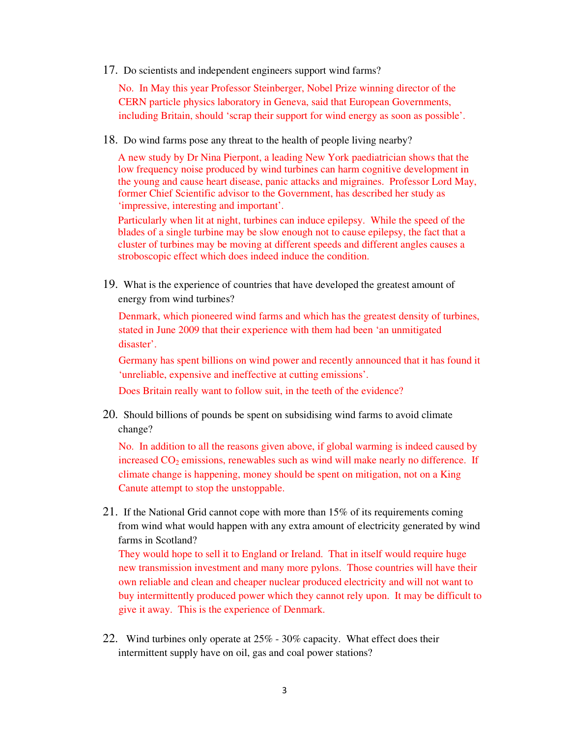17. Do scientists and independent engineers support wind farms?

No. In May this year Professor Steinberger, Nobel Prize winning director of the CERN particle physics laboratory in Geneva, said that European Governments, including Britain, should 'scrap their support for wind energy as soon as possible'.

18. Do wind farms pose any threat to the health of people living nearby?

A new study by Dr Nina Pierpont, a leading New York paediatrician shows that the low frequency noise produced by wind turbines can harm cognitive development in the young and cause heart disease, panic attacks and migraines. Professor Lord May, former Chief Scientific advisor to the Government, has described her study as 'impressive, interesting and important'.

Particularly when lit at night, turbines can induce epilepsy. While the speed of the blades of a single turbine may be slow enough not to cause epilepsy, the fact that a cluster of turbines may be moving at different speeds and different angles causes a stroboscopic effect which does indeed induce the condition.

19. What is the experience of countries that have developed the greatest amount of energy from wind turbines?

Denmark, which pioneered wind farms and which has the greatest density of turbines, stated in June 2009 that their experience with them had been 'an unmitigated disaster'.

Germany has spent billions on wind power and recently announced that it has found it 'unreliable, expensive and ineffective at cutting emissions'.

Does Britain really want to follow suit, in the teeth of the evidence?

20. Should billions of pounds be spent on subsidising wind farms to avoid climate change?

No. In addition to all the reasons given above, if global warming is indeed caused by increased  $CO<sub>2</sub>$  emissions, renewables such as wind will make nearly no difference. If climate change is happening, money should be spent on mitigation, not on a King Canute attempt to stop the unstoppable.

21. If the National Grid cannot cope with more than 15% of its requirements coming from wind what would happen with any extra amount of electricity generated by wind farms in Scotland?

They would hope to sell it to England or Ireland. That in itself would require huge new transmission investment and many more pylons. Those countries will have their own reliable and clean and cheaper nuclear produced electricity and will not want to buy intermittently produced power which they cannot rely upon. It may be difficult to give it away. This is the experience of Denmark.

22. Wind turbines only operate at 25% - 30% capacity. What effect does their intermittent supply have on oil, gas and coal power stations?